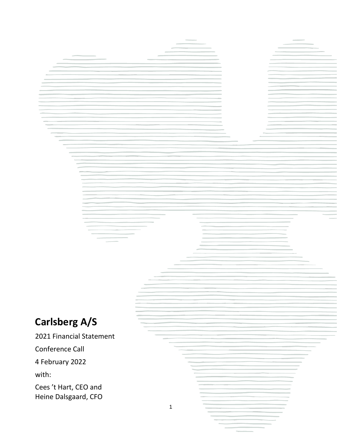# **Carlsberg A/S**

2021 Financial Statement

Conference Call

4 February 2022

with:

Cees 't Hart, CEO and Heine Dalsgaard, CFO

1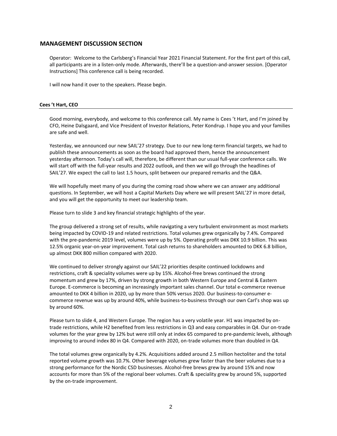## **MANAGEMENT DISCUSSION SECTION**

Operator: Welcome to the Carlsberg's Financial Year 2021 Financial Statement. For the first part of this call, all participants are in a listen-only mode. Afterwards, there'll be a question-and-answer session. [Operator Instructions] This conference call is being recorded.

I will now hand it over to the speakers. Please begin.

#### **Cees 't Hart, CEO**

Good morning, everybody, and welcome to this conference call. My name is Cees 't Hart, and I'm joined by CFO, Heine Dalsgaard, and Vice President of Investor Relations, Peter Kondrup. I hope you and your families are safe and well.

Yesterday, we announced our new SAIL'27 strategy. Due to our new long-term financial targets, we had to publish these announcements as soon as the board had approved them, hence the announcement yesterday afternoon. Today's call will, therefore, be different than our usual full-year conference calls. We will start off with the full-year results and 2022 outlook, and then we will go through the headlines of SAIL'27. We expect the call to last 1.5 hours, split between our prepared remarks and the Q&A.

We will hopefully meet many of you during the coming road show where we can answer any additional questions. In September, we will host a Capital Markets Day where we will present SAIL'27 in more detail, and you will get the opportunity to meet our leadership team.

Please turn to slide 3 and key financial strategic highlights of the year.

The group delivered a strong set of results, while navigating a very turbulent environment as most markets being impacted by COVID-19 and related restrictions. Total volumes grew organically by 7.4%. Compared with the pre-pandemic 2019 level, volumes were up by 5%. Operating profit was DKK 10.9 billion. This was 12.5% organic year-on-year improvement. Total cash returns to shareholders amounted to DKK 6.8 billion, up almost DKK 800 million compared with 2020.

We continued to deliver strongly against our SAIL'22 priorities despite continued lockdowns and restrictions, craft & speciality volumes were up by 15%. Alcohol-free brews continued the strong momentum and grew by 17%, driven by strong growth in both Western Europe and Central & Eastern Europe. E-commerce is becoming an increasingly important sales channel. Our total e-commerce revenue amounted to DKK 4 billion in 2020, up by more than 50% versus 2020. Our business-to-consumer ecommerce revenue was up by around 40%, while business-to-business through our own Carl's shop was up by around 60%.

Please turn to slide 4, and Western Europe. The region has a very volatile year. H1 was impacted by ontrade restrictions, while H2 benefited from less restrictions in Q3 and easy comparables in Q4. Our on-trade volumes for the year grew by 12% but were still only at index 65 compared to pre-pandemic levels, although improving to around index 80 in Q4. Compared with 2020, on-trade volumes more than doubled in Q4.

The total volumes grew organically by 4.2%. Acquisitions added around 2.5 million hectoliter and the total reported volume growth was 10.7%. Other beverage volumes grew faster than the beer volumes due to a strong performance for the Nordic CSD businesses. Alcohol-free brews grew by around 15% and now accounts for more than 5% of the regional beer volumes. Craft & speciality grew by around 5%, supported by the on-trade improvement.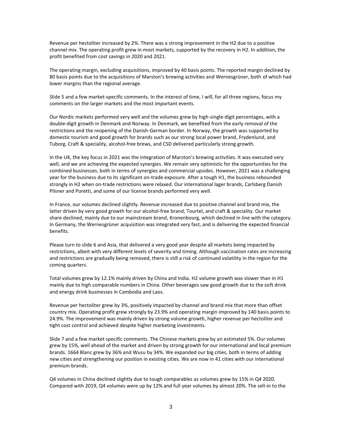Revenue per hectoliter increased by 2%. There was a strong improvement in the H2 due to a positive channel mix. The operating profit grew in most markets, supported by the recovery in H2. In addition, the profit benefited from cost savings in 2020 and 2021.

The operating margin, excluding acquisitions, improved by 40 basis points. The reported margin declined by 80 basis points due to the acquisitions of Marston's brewing activities and Wernesgrüner, both of which had lower margins than the regional average.

Slide 5 and a few market-specific comments. In the interest of time, I will, for all three regions, focus my comments on the larger markets and the most important events.

Our Nordic markets performed very well and the volumes grew by high-single-digit percentages, with a double-digit growth in Denmark and Norway. In Denmark, we benefited from the early removal of the restrictions and the reopening of the Danish-German border. In Norway, the growth was supported by domestic tourism and good growth for brands such as our strong local power brand, Frydenlund, and Tuborg. Craft & speciality, alcohol-free brews, and CSD delivered particularly strong growth.

In the UK, the key focus in 2021 was the integration of Marston's brewing activities. It was executed very well, and we are achieving the expected synergies. We remain very optimistic for the opportunities for the combined businesses, both in terms of synergies and commercial upsides. However, 2021 was a challenging year for the business due to its significant on-trade exposure. After a tough H1, the business rebounded strongly in H2 when on-trade restrictions were relaxed. Our international lager brands, Carlsberg Danish Pilsner and Poretti, and some of our license brands performed very well.

In France, our volumes declined slightly. Revenue increased due to positive channel and brand mix, the latter driven by very good growth for our alcohol-free brand, Tourtel, and craft & speciality. Our market share declined, mainly due to our mainstream brand, Kronenbourg, which declined in line with the category. In Germany, the Wernesgrüner acquisition was integrated very fast, and is delivering the expected financial benefits.

Please turn to slide 6 and Asia, that delivered a very good year despite all markets being impacted by restrictions, albeit with very different levels of severity and timing. Although vaccination rates are increasing and restrictions are gradually being removed, there is still a risk of continued volatility in the region for the coming quarters.

Total volumes grew by 12.1% mainly driven by China and India. H2 volume growth was slower than in H1 mainly due to high comparable numbers in China. Other beverages saw good growth due to the soft drink and energy drink businesses in Cambodia and Laos.

Revenue per hectoliter grew by 3%, positively impacted by channel and brand mix that more than offset country mix. Operating profit grew strongly by 23.9% and operating margin improved by 140 basis points to 24.9%. The improvement was mainly driven by strong volume growth, higher revenue per hectoliter and tight cost control and achieved despite higher marketing investments.

Slide 7 and a few market specific comments. The Chinese markets grew by an estimated 5%. Our volumes grew by 15%, well ahead of the market and driven by strong growth for our international and local premium brands. 1664 Blanc grew by 36% and Wusu by 34%. We expanded our big cities, both in terms of adding new cities and strengthening our position in existing cities. We are now in 41 cities with our international premium brands.

Q4 volumes in China declined slightly due to tough comparables as volumes grew by 15% in Q4 2020. Compared with 2019, Q4 volumes were up by 12% and full year volumes by almost 20%. The sell-in to the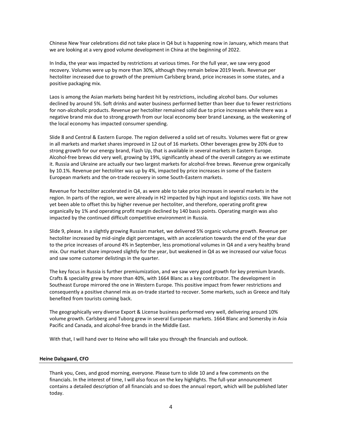Chinese New Year celebrations did not take place in Q4 but is happening now in January, which means that we are looking at a very good volume development in China at the beginning of 2022.

In India, the year was impacted by restrictions at various times. For the full year, we saw very good recovery. Volumes were up by more than 30%, although they remain below 2019 levels. Revenue per hectoliter increased due to growth of the premium Carlsberg brand, price increases in some states, and a positive packaging mix.

Laos is among the Asian markets being hardest hit by restrictions, including alcohol bans. Our volumes declined by around 5%. Soft drinks and water business performed better than beer due to fewer restrictions for non-alcoholic products. Revenue per hectoliter remained solid due to price increases while there was a negative brand mix due to strong growth from our local economy beer brand Lanexang, as the weakening of the local economy has impacted consumer spending.

Slide 8 and Central & Eastern Europe. The region delivered a solid set of results. Volumes were flat or grew in all markets and market shares improved in 12 out of 16 markets. Other beverages grew by 20% due to strong growth for our energy brand, Flash Up, that is available in several markets in Eastern Europe. Alcohol-free brews did very well, growing by 19%, significantly ahead of the overall category as we estimate it. Russia and Ukraine are actually our two largest markets for alcohol-free brews. Revenue grew organically by 10.1%. Revenue per hectoliter was up by 4%, impacted by price increases in some of the Eastern European markets and the on-trade recovery in some South-Eastern markets.

Revenue for hectoliter accelerated in Q4, as were able to take price increases in several markets in the region. In parts of the region, we were already in H2 impacted by high input and logistics costs. We have not yet been able to offset this by higher revenue per hectoliter, and therefore, operating profit grew organically by 1% and operating profit margin declined by 140 basis points. Operating margin was also impacted by the continued difficult competitive environment in Russia.

Slide 9, please. In a slightly growing Russian market, we delivered 5% organic volume growth. Revenue per hectoliter increased by mid-single digit percentages, with an acceleration towards the end of the year due to the price increases of around 4% in September, less promotional volumes in Q4 and a very healthy brand mix. Our market share improved slightly for the year, but weakened in Q4 as we increased our value focus and saw some customer delistings in the quarter.

The key focus in Russia is further premiumization, and we saw very good growth for key premium brands. Crafts & speciality grew by more than 40%, with 1664 Blanc as a key contributor. The development in Southeast Europe mirrored the one in Western Europe. This positive impact from fewer restrictions and consequently a positive channel mix as on-trade started to recover. Some markets, such as Greece and Italy benefited from tourists coming back.

The geographically very diverse Export & License business performed very well, delivering around 10% volume growth. Carlsberg and Tuborg grew in several European markets. 1664 Blanc and Somersby in Asia Pacific and Canada, and alcohol-free brands in the Middle East.

With that, I will hand over to Heine who will take you through the financials and outlook.

#### **Heine Dalsgaard, CFO**

Thank you, Cees, and good morning, everyone. Please turn to slide 10 and a few comments on the financials. In the interest of time, I will also focus on the key highlights. The full-year announcement contains a detailed description of all financials and so does the annual report, which will be published later today.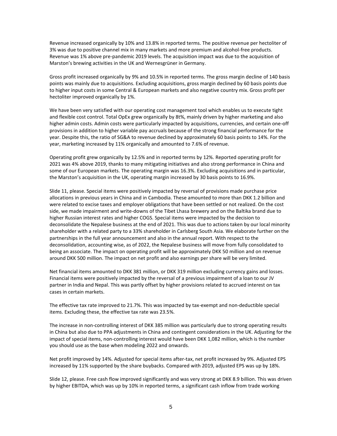Revenue increased organically by 10% and 13.8% in reported terms. The positive revenue per hectoliter of 3% was due to positive channel mix in many markets and more premium and alcohol-free products. Revenue was 1% above pre-pandemic 2019 levels. The acquisition impact was due to the acquisition of Marston's brewing activities in the UK and Wernesgrüner in Germany.

Gross profit increased organically by 9% and 10.5% in reported terms. The gross margin decline of 140 basis points was mainly due to acquisitions. Excluding acquisitions, gross margin declined by 60 basis points due to higher input costs in some Central & European markets and also negative country mix. Gross profit per hectoliter improved organically by 1%.

We have been very satisfied with our operating cost management tool which enables us to execute tight and flexible cost control. Total OpEx grew organically by 8t%, mainly driven by higher marketing and also higher admin costs. Admin costs were particularly impacted by acquisitions, currencies, and certain one-off provisions in addition to higher variable pay accruals because of the strong financial performance for the year. Despite this, the ratio of SG&A to revenue declined by approximately 60 basis points to 14%. For the year, marketing increased by 11% organically and amounted to 7.6% of revenue.

Operating profit grew organically by 12.5% and in reported terms by 12%. Reported operating profit for 2021 was 4% above 2019, thanks to many mitigating initiatives and also strong performance in China and some of our European markets. The operating margin was 16.3%. Excluding acquisitions and in particular, the Marston's acquisition in the UK, operating margin increased by 30 basis points to 16.9%.

Slide 11, please. Special items were positively impacted by reversal of provisions made purchase price allocations in previous years in China and in Cambodia. These amounted to more than DKK 1.2 billion and were related to excise taxes and employer obligations that have been settled or not realized. On the cost side, we made impairment and write-downs of the Tibet Lhasa brewery and on the Baltika brand due to higher Russian interest rates and higher COGS. Special items were impacted by the decision to deconsolidate the Nepalese business at the end of 2021. This was due to actions taken by our local minority shareholder with a related party to a 33% shareholder in Carlsberg South Asia. We elaborate further on the partnerships in the full year announcement and also in the annual report. With respect to the deconsolidation, accounting wise, as of 2022, the Nepalese business will move from fully consolidated to being an associate. The impact on operating profit will be approximately DKK 50 million and on revenue around DKK 500 million. The impact on net profit and also earnings per share will be very limited.

Net financial items amounted to DKK 381 million, or DKK 319 million excluding currency gains and losses. Financial items were positively impacted by the reversal of a previous impairment of a loan to our JV partner in India and Nepal. This was partly offset by higher provisions related to accrued interest on tax cases in certain markets.

The effective tax rate improved to 21.7%. This was impacted by tax-exempt and non-deductible special items. Excluding these, the effective tax rate was 23.5%.

The increase in non-controlling interest of DKK 385 million was particularly due to strong operating results in China but also due to PPA adjustments in China and contingent considerations in the UK. Adjusting for the impact of special items, non-controlling interest would have been DKK 1,082 million, which is the number you should use as the base when modeling 2022 and onwards.

Net profit improved by 14%. Adjusted for special items after-tax, net profit increased by 9%. Adjusted EPS increased by 11% supported by the share buybacks. Compared with 2019, adjusted EPS was up by 18%.

Slide 12, please. Free cash flow improved significantly and was very strong at DKK 8.9 billion. This was driven by higher EBITDA, which was up by 10% in reported terms, a significant cash inflow from trade working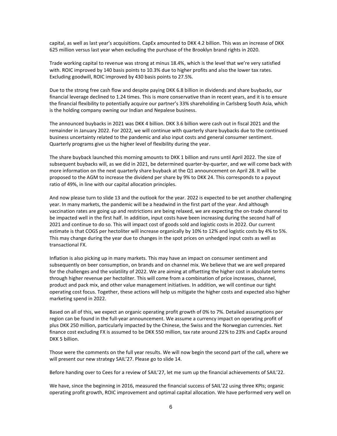capital, as well as last year's acquisitions. CapEx amounted to DKK 4.2 billion. This was an increase of DKK 625 million versus last year when excluding the purchase of the Brooklyn brand rights in 2020.

Trade working capital to revenue was strong at minus 18.4%, which is the level that we're very satisfied with. ROIC improved by 140 basis points to 10.3% due to higher profits and also the lower tax rates. Excluding goodwill, ROIC improved by 430 basis points to 27.5%.

Due to the strong free cash flow and despite paying DKK 6.8 billion in dividends and share buybacks, our financial leverage declined to 1.24 times. This is more conservative than in recent years, and it is to ensure the financial flexibility to potentially acquire our partner's 33% shareholding in Carlsberg South Asia, which is the holding company owning our Indian and Nepalese business.

The announced buybacks in 2021 was DKK 4 billion. DKK 3.6 billion were cash out in fiscal 2021 and the remainder in January 2022. For 2022, we will continue with quarterly share buybacks due to the continued business uncertainty related to the pandemic and also input costs and general consumer sentiment. Quarterly programs give us the higher level of flexibility during the year.

The share buyback launched this morning amounts to DKK 1 billion and runs until April 2022. The size of subsequent buybacks will, as we did in 2021, be determined quarter-by-quarter, and we will come back with more information on the next quarterly share buyback at the Q1 announcement on April 28. It will be proposed to the AGM to increase the dividend per share by 9% to DKK 24. This corresponds to a payout ratio of 49%, in line with our capital allocation principles.

And now please turn to slide 13 and the outlook for the year. 2022 is expected to be yet another challenging year. In many markets, the pandemic will be a headwind in the first part of the year. And although vaccination rates are going up and restrictions are being relaxed, we are expecting the on-trade channel to be impacted well in the first half. In addition, input costs have been increasing during the second half of 2021 and continue to do so. This will impact cost of goods sold and logistic costs in 2022. Our current estimate is that COGS per hectoliter will increase organically by 10% to 12% and logistic costs by 4% to 5%. This may change during the year due to changes in the spot prices on unhedged input costs as well as transactional FX.

Inflation is also picking up in many markets. This may have an impact on consumer sentiment and subsequently on beer consumption, on brands and on channel mix. We believe that we are well prepared for the challenges and the volatility of 2022. We are aiming at offsetting the higher cost in absolute terms through higher revenue per hectoliter. This will come from a combination of price increases, channel, product and pack mix, and other value management initiatives. In addition, we will continue our tight operating cost focus. Together, these actions will help us mitigate the higher costs and expected also higher marketing spend in 2022.

Based on all of this, we expect an organic operating profit growth of 0% to 7%. Detailed assumptions per region can be found in the full-year announcement. We assume a currency impact on operating profit of plus DKK 250 million, particularly impacted by the Chinese, the Swiss and the Norwegian currencies. Net finance cost excluding FX is assumed to be DKK 550 million, tax rate around 22% to 23% and CapEx around DKK 5 billion.

Those were the comments on the full year results. We will now begin the second part of the call, where we will present our new strategy SAIL'27. Please go to slide 14.

Before handing over to Cees for a review of SAIL'27, let me sum up the financial achievements of SAIL'22.

We have, since the beginning in 2016, measured the financial success of SAIL'22 using three KPIs; organic operating profit growth, ROIC improvement and optimal capital allocation. We have performed very well on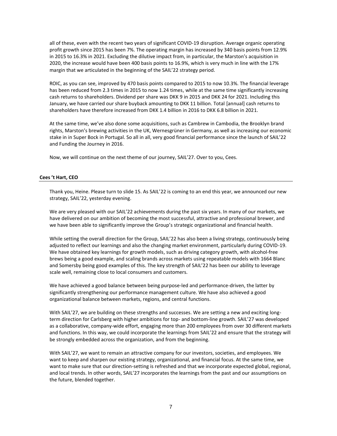all of these, even with the recent two years of significant COVID-19 disruption. Average organic operating profit growth since 2015 has been 7%. The operating margin has increased by 340 basis points from 12.9% in 2015 to 16.3% in 2021. Excluding the dilutive impact from, in particular, the Marston's acquisition in 2020, the increase would have been 400 basis points to 16.9%, which is very much in line with the 17% margin that we articulated in the beginning of the SAIL'22 strategy period.

ROIC, as you can see, improved by 470 basis points compared to 2015 to now 10.3%. The financial leverage has been reduced from 2.3 times in 2015 to now 1.24 times, while at the same time significantly increasing cash returns to shareholders. Dividend per share was DKK 9 in 2015 and DKK 24 for 2021. Including this January, we have carried our share buyback amounting to DKK 11 billion. Total [annual] cash returns to shareholders have therefore increased from DKK 1.4 billion in 2016 to DKK 6.8 billion in 2021.

At the same time, we've also done some acquisitions, such as Cambrew in Cambodia, the Brooklyn brand rights, Marston's brewing activities in the UK, Wernesgrüner in Germany, as well as increasing our economic stake in in Super Bock in Portugal. So all in all, very good financial performance since the launch of SAIL'22 and Funding the Journey in 2016.

Now, we will continue on the next theme of our journey, SAIL'27. Over to you, Cees.

#### **Cees 't Hart, CEO**

Thank you, Heine. Please turn to slide 15. As SAIL'22 is coming to an end this year, we announced our new strategy, SAIL'22, yesterday evening.

We are very pleased with our SAIL'22 achievements during the past six years. In many of our markets, we have delivered on our ambition of becoming the most successful, attractive and professional brewer, and we have been able to significantly improve the Group's strategic organizational and financial health.

While setting the overall direction for the Group, SAIL'22 has also been a living strategy, continuously being adjusted to reflect our learnings and also the changing market environment, particularly during COVID-19. We have obtained key learnings for growth models, such as driving category growth, with alcohol-free brews being a good example, and scaling brands across markets using repeatable models with 1664 Blanc and Somersby being good examples of this. The key strength of SAIL'22 has been our ability to leverage scale well, remaining close to local consumers and customers.

We have achieved a good balance between being purpose-led and performance-driven, the latter by significantly strengthening our performance management culture. We have also achieved a good organizational balance between markets, regions, and central functions.

With SAIL'27, we are building on these strengths and successes. We are setting a new and exciting longterm direction for Carlsberg with higher ambitions for top- and bottom-line growth. SAIL'27 was developed as a collaborative, company-wide effort, engaging more than 200 employees from over 30 different markets and functions. In this way, we could incorporate the learnings from SAIL'22 and ensure that the strategy will be strongly embedded across the organization, and from the beginning.

With SAIL'27, we want to remain an attractive company for our investors, societies, and employees. We want to keep and sharpen our existing strategy, organizational, and financial focus. At the same time, we want to make sure that our direction-setting is refreshed and that we incorporate expected global, regional, and local trends. In other words, SAIL'27 incorporates the learnings from the past and our assumptions on the future, blended together.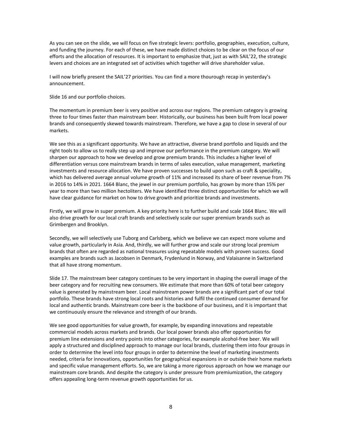As you can see on the slide, we will focus on five strategic levers: portfolio, geographies, execution, culture, and funding the journey. For each of these, we have made distinct choices to be clear on the focus of our efforts and the allocation of resources. It is important to emphasize that, just as with SAIL'22, the strategic levers and choices are an integrated set of activities which together will drive shareholder value.

I will now briefly present the SAIL'27 priorities. You can find a more thourough recap in yesterday's announcement.

Slide 16 and our portfolio choices.

The momentum in premium beer is very positive and across our regions. The premium category is growing three to four times faster than mainstream beer. Historically, our business has been built from local power brands and consequently skewed towards mainstream. Therefore, we have a gap to close in several of our markets.

We see this as a significant opportunity. We have an attractive, diverse brand portfolio and liquids and the right tools to allow us to really step up and improve our performance in the premium category. We will sharpen our approach to how we develop and grow premium brands. This includes a higher level of differentiation versus core mainstream brands in terms of sales execution, value management, marketing investments and resource allocation. We have proven successes to build upon such as craft & speciality, which has delivered average annual volume growth of 11% and increased its share of beer revenue from 7% in 2016 to 14% in 2021. 1664 Blanc, the jewel in our premium portfolio, has grown by more than 15% per year to more than two million hectoliters. We have identified three distinct opportunities for which we will have clear guidance for market on how to drive growth and prioritize brands and investments.

Firstly, we will grow in super premium. A key priority here is to further build and scale 1664 Blanc. We will also drive growth for our local craft brands and selectively scale our super premium brands such as Grimbergen and Brooklyn.

Secondly, we will selectively use Tuborg and Carlsberg, which we believe we can expect more volume and value growth, particularly in Asia. And, thirdly, we will further grow and scale our strong local premium brands that often are regarded as national treasures using repeatable models with proven success. Good examples are brands such as Jacobsen in Denmark, Frydenlund in Norway, and Valaisanne in Switzerland that all have strong momentum.

Slide 17. The mainstream beer category continues to be very important in shaping the overall image of the beer category and for recruiting new consumers. We estimate that more than 60% of total beer category value is generated by mainstream beer. Local mainstream power brands are a significant part of our total portfolio. These brands have strong local roots and histories and fulfil the continued consumer demand for local and authentic brands. Mainstream core beer is the backbone of our business, and it is important that we continuously ensure the relevance and strength of our brands.

We see good opportunities for value growth, for example, by expanding innovations and repeatable commercial models across markets and brands. Our local power brands also offer opportunities for premium line extensions and entry points into other categories, for example alcohol-free beer. We will apply a structured and disciplined approach to manage our local brands, clustering them into four groups in order to determine the level into four groups in order to determine the level of marketing investments needed, criteria for innovations, opportunities for geographical expansions in or outside their home markets and specific value management efforts. So, we are taking a more rigorous approach on how we manage our mainstream core brands. And despite the category is under pressure from premiumization, the category offers appealing long-term revenue growth opportunities for us.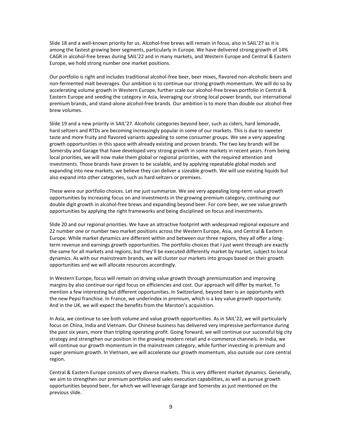Slide 18 and a well-known priority for us. Alcohol-free brews will remain in focus, also in SAIL'27 as it is among the fastest growing beer segments, particularly in Europe. We have delivered strong growth of 14% CAGR in alcohol-free brews during SAIL'22 and in many markets, and Western Europe and Central & Eastern Europe, we hold strong number one market positions.

Our portfolio is right and includes traditional alcohol-free beer, beer mixes, flavored non-alcoholic beers and non-fermented malt beverages. Our ambition is to continue our strong growth momentum. We will do so by accelerating volume growth in Western Europe, further scale our alcohol-free brews portfolio in Central & Eastern Europe and seeding the category in Asia, leveraging our strong local power brands, our international premium brands, and stand-alone alcohol-free brands. Our ambition is to more than double our alcohol-free brew volumes.

Slide 19 and a new priority in SAIL'27. Alcoholic categories beyond beer, such as ciders, hard lemonade, hard seltzers and RTDs are becoming increasingly popular in some of our markets. This is due to sweeter taste and more fruity and flavored variants appealing to some consumer groups. We see a very appealing growth opportunities in this space with already existing and proven brands. The two key brands will be Somersby and Garage that have developed very strong growth in some markets in recent years. From being local priorities, we will now make them global or regional priorities, with the required attention and investments. Those brands have proven to be scalable, and by applying repeatable global models and expanding into new markets, we believe they can deliver a sizeable growth. We will use existing liquids but also expand into other categories, such as hard seltzers or premixes.

These were our portfolio choices. Let me just summarize. We see very appealing long-term value growth opportunities by increasing focus on and investments in the growing premium category, continuing our double digit growth in alcohol-free brews and expanding beyond beer. For core beer, we see value growth opportunities by applying the right frameworks and being disciplined on focus and investments.

Slide 20 and our regional priorities. We have an attractive footprint with widespread regional exposure and 22 number one or number two market positions across the Western Europe, Asia, and Central & Eastern Europe. While market dynamics are different within and between our three regions, they all offer a longterm revenue and earnings growth opportunities. The portfolio choices that I just went through are exactly the same for all markets and regions, but they'll be executed differently market by market, subject to local dynamics. As with our mainstream brands, we will cluster our markets into groups based on their growth opportunities and we will allocate resources accordingly.

In Western Europe, focus will remain on driving value growth through premiumization and improving margins by also continue our rigid focus on efficiencies and cost. Our approach will differ by market. To mention a few interesting but different opportunities. In Switzerland, beyond beer is an opportunity with the new Pepsi franchise. In France, we underindex in premium, which is a key value growth opportunity. And in the UK, we will expect the benefits from the Marston's acquisition.

In Asia, we continue to see both volume and value growth opportunities. As in SAIL'22, we will particularly focus on China, India and Vietnam. Our Chinese business has delivered very impressive performance during the past six years, more than tripling operating profit. Going forward, we will continue our successful big city strategy and strengthen our position in the growing modern retail and e-commerce channels. In India, we will continue our growth momentum in the mainstream category, while further investing in premium and super premium growth. In Vietnam, we will accelerate our growth momentum, also outside our core central region.

Central & Eastern Europe consists of very diverse markets. This is very different market dynamics. Generally, we aim to strengthen our premium portfolios and sales execution capabilities, as well as pursue growth opportunities beyond beer, for which we will leverage Garage and Somersby as just mentioned on the previous slide.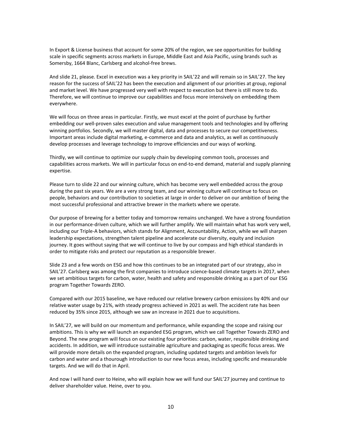In Export & License business that account for some 20% of the region, we see opportunities for building scale in specific segments across markets in Europe, Middle East and Asia Pacific, using brands such as Somersby, 1664 Blanc, Carlsberg and alcohol-free brews.

And slide 21, please. Excel in execution was a key priority in SAIL'22 and will remain so in SAIL'27. The key reason for the success of SAIL'22 has been the execution and alignment of our priorities at group, regional and market level. We have progressed very well with respect to execution but there is still more to do. Therefore, we will continue to improve our capabilities and focus more intensively on embedding them everywhere.

We will focus on three areas in particular. Firstly, we must excel at the point of purchase by further embedding our well-proven sales execution and value management tools and technologies and by offering winning portfolios. Secondly, we will master digital, data and processes to secure our competitiveness. Important areas include digital marketing, e-commerce and data and analytics, as well as continuously develop processes and leverage technology to improve efficiencies and our ways of working.

Thirdly, we will continue to optimize our supply chain by developing common tools, processes and capabilities across markets. We will in particular focus on end-to-end demand, material and supply planning expertise.

Please turn to slide 22 and our winning culture, which has become very well embedded across the group during the past six years. We are a very strong team, and our winning culture will continue to focus on people, behaviors and our contribution to societies at large in order to deliver on our ambition of being the most successful professional and attractive brewer in the markets where we operate.

Our purpose of brewing for a better today and tomorrow remains unchanged. We have a strong foundation in our performance-driven culture, which we will further amplify. We will maintain what has work very well, including our Triple-A behaviors, which stands for Alignment, Accountability, Action, while we will sharpen leadership expectations, strengthen talent pipeline and accelerate our diversity, equity and inclusion journey. It goes without saying that we will continue to live by our compass and high ethical standards in order to mitigate risks and protect our reputation as a responsible brewer.

Slide 23 and a few words on ESG and how this continues to be an integrated part of our strategy, also in SAIL'27. Carlsberg was among the first companies to introduce science-based climate targets in 2017, when we set ambitious targets for carbon, water, health and safety and responsible drinking as a part of our ESG program Together Towards ZERO.

Compared with our 2015 baseline, we have reduced our relative brewery carbon emissions by 40% and our relative water usage by 21%, with steady progress achieved in 2021 as well. The accident rate has been reduced by 35% since 2015, although we saw an increase in 2021 due to acquisitions.

In SAIL'27, we will build on our momentum and performance, while expanding the scope and raising our ambitions. This is why we will launch an expanded ESG program, which we call Together Towards ZERO and Beyond. The new program will focus on our existing four priorities: carbon, water, responsible drinking and accidents. In addition, we will introduce sustainable agriculture and packaging as specific focus areas. We will provide more details on the expanded program, including updated targets and ambition levels for carbon and water and a thourough introduction to our new focus areas, including specific and measurable targets. And we will do that in April.

And now I will hand over to Heine, who will explain how we will fund our SAIL'27 journey and continue to deliver shareholder value. Heine, over to you.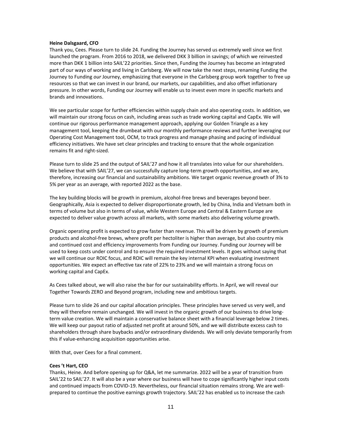#### **Heine Dalsgaard, CFO**

Thank you, Cees. Please turn to slide 24. Funding the Journey has served us extremely well since we first launched the program. From 2016 to 2018, we delivered DKK 3 billion in savings; of which we reinvested more than DKK 1 billion into SAIL'22 priorities. Since then, Funding the Journey has become an integrated part of our ways of working and living in Carlsberg. We will now take the next steps, renaming Funding the Journey to Funding *our* Journey, emphasizing that everyone in the Carlsberg group work together to free up resources so that we can invest in our brand, our markets, our capabilities, and also offset inflationary pressure. In other words, Funding our Journey will enable us to invest even more in specific markets and brands and innovations.

We see particular scope for further efficiencies within supply chain and also operating costs. In addition, we will maintain our strong focus on cash, including areas such as trade working capital and CapEx. We will continue our rigorous performance management approach, applying our Golden Triangle as a key management tool, keeping the drumbeat with our monthly performance reviews and further leveraging our Operating Cost Management tool, OCM, to track progress and manage phasing and pacing of individual efficiency initiatives. We have set clear principles and tracking to ensure that the whole organization remains fit and right-sized.

Please turn to slide 25 and the output of SAIL'27 and how it all translates into value for our shareholders. We believe that with SAIL'27, we can successfully capture long-term growth opportunities, and we are, therefore, increasing our financial and sustainability ambitions. We target organic revenue growth of 3% to 5% per year as an average, with reported 2022 as the base.

The key building blocks will be growth in premium, alcohol-free brews and beverages beyond beer. Geographically, Asia is expected to deliver disproportionate growth, led by China, India and Vietnam both in terms of volume but also in terms of value, while Western Europe and Central & Eastern Europe are expected to deliver value growth across all markets, with some markets also delivering volume growth.

Organic operating profit is expected to grow faster than revenue. This will be driven by growth of premium products and alcohol-free brews, where profit per hectoliter is higher than average, but also country mix and continued cost and efficiency improvements from Funding our Journey. Funding our Journey will be used to keep costs under control and to ensure the required investment levels. It goes without saying that we will continue our ROIC focus, and ROIC will remain the key internal KPI when evaluating investment opportunities. We expect an effective tax rate of 22% to 23% and we will maintain a strong focus on working capital and CapEx.

As Cees talked about, we will also raise the bar for our sustainability efforts. In April, we will reveal our Together Towards ZERO and Beyond program, including new and ambitious targets.

Please turn to slide 26 and our capital allocation principles. These principles have served us very well, and they will therefore remain unchanged. We will invest in the organic growth of our business to drive longterm value creation. We will maintain a conservative balance sheet with a financial leverage below 2 times. We will keep our payout ratio of adjusted net profit at around 50%, and we will distribute excess cash to shareholders through share buybacks and/or extraordinary dividends. We will only deviate temporarily from this if value-enhancing acquisition opportunities arise.

With that, over Cees for a final comment.

#### **Cees 't Hart, CEO**

Thanks, Heine. And before opening up for Q&A, let me summarize. 2022 will be a year of transition from SAIL'22 to SAIL'27. It will also be a year where our business will have to cope significantly higher input costs and continued impacts from COVID-19. Nevertheless, our financial situation remains strong. We are wellprepared to continue the positive earnings growth trajectory. SAIL'22 has enabled us to increase the cash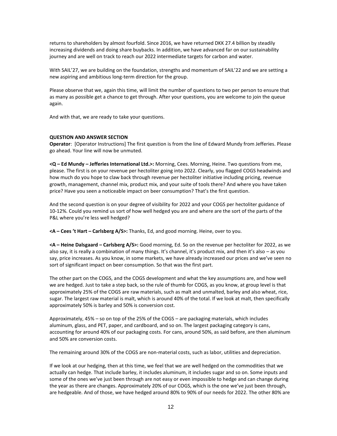returns to shareholders by almost fourfold. Since 2016, we have returned DKK 27.4 billion by steadily increasing dividends and doing share buybacks. In addition, we have advanced far on our sustainability journey and are well on track to reach our 2022 intermediate targets for carbon and water.

With SAIL'27, we are building on the foundation, strengths and momentum of SAIL'22 and we are setting a new aspiring and ambitious long-term direction for the group.

Please observe that we, again this time, will limit the number of questions to two per person to ensure that as many as possible get a chance to get through. After your questions, you are welcome to join the queue again.

And with that, we are ready to take your questions.

#### **QUESTION AND ANSWER SECTION**

**Operator**: [Operator Instructions] The first question is from the line of Edward Mundy from Jefferies. Please go ahead. Your line will now be unmuted.

**<Q – Ed Mundy – Jefferies International Ltd.>:** Morning, Cees. Morning, Heine. Two questions from me, please. The first is on your revenue per hectoliter going into 2022. Clearly, you flagged COGS headwinds and how much do you hope to claw back through revenue per hectoliter initiative including pricing, revenue growth, management, channel mix, product mix, and your suite of tools there? And where you have taken price? Have you seen a noticeable impact on beer consumption? That's the first question.

And the second question is on your degree of visibility for 2022 and your COGS per hectoliter guidance of 10-12%. Could you remind us sort of how well hedged you are and where are the sort of the parts of the P&L where you're less well hedged?

**<A – Cees 't Hart – Carlsberg A/S>:** Thanks, Ed, and good morning. Heine, over to you.

**<A – Heine Dalsgaard – Carlsberg A/S>:** Good morning, Ed. So on the revenue per hectoliter for 2022, as we also say, it is really a combination of many things. It's channel, it's product mix, and then it's also – as you say, price increases. As you know, in some markets, we have already increased our prices and we've seen no sort of significant impact on beer consumption. So that was the first part.

The other part on the COGS, and the COGS development and what the key assumptions are, and how well we are hedged. Just to take a step back, so the rule of thumb for COGS, as you know, at group level is that approximately 25% of the COGS are raw materials, such as malt and unmalted, barley and also wheat, rice, sugar. The largest raw material is malt, which is around 40% of the total. If we look at malt, then specifically approximately 50% is barley and 50% is conversion cost.

Approximately, 45% – so on top of the 25% of the COGS – are packaging materials, which includes aluminum, glass, and PET, paper, and cardboard, and so on. The largest packaging category is cans, accounting for around 40% of our packaging costs. For cans, around 50%, as said before, are then aluminum and 50% are conversion costs.

The remaining around 30% of the COGS are non-material costs, such as labor, utilities and depreciation.

If we look at our hedging, then at this time, we feel that we are well hedged on the commodities that we actually can hedge. That include barley, it includes aluminum, it includes sugar and so on. Some inputs and some of the ones we've just been through are not easy or even impossible to hedge and can change during the year as there are changes. Approximately 20% of our COGS, which is the one we've just been through, are hedgeable. And of those, we have hedged around 80% to 90% of our needs for 2022. The other 80% are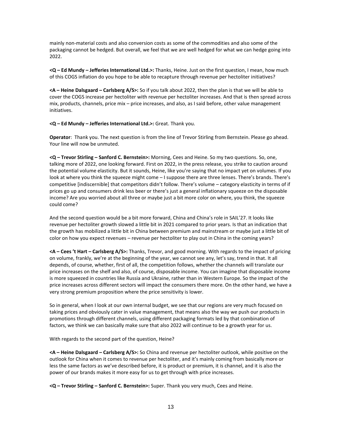mainly non-material costs and also conversion costs as some of the commodities and also some of the packaging cannot be hedged. But overall, we feel that we are well hedged for what we can hedge going into 2022.

**<Q – Ed Mundy – Jefferies International Ltd.>:** Thanks, Heine. Just on the first question, I mean, how much of this COGS inflation do you hope to be able to recapture through revenue per hectoliter initiatives?

**<A – Heine Dalsgaard – Carlsberg A/S>:** So if you talk about 2022, then the plan is that we will be able to cover the COGS increase per hectoliter with revenue per hectoliter increases. And that is then spread across mix, products, channels, price mix – price increases, and also, as I said before, other value management initiatives.

**<Q – Ed Mundy – Jefferies International Ltd.>:** Great. Thank you.

**Operator**: Thank you. The next question is from the line of Trevor Stirling from Bernstein. Please go ahead. Your line will now be unmuted.

**<Q – Trevor Stirling – Sanford C. Bernstein>:** Morning, Cees and Heine. So my two questions. So, one, talking more of 2022, one looking forward. First on 2022, in the press release, you strike to caution around the potential volume elasticity. But it sounds, Heine, like you're saying that no impact yet on volumes. If you look at where you think the squeeze might come – I suppose there are three lenses. There's brands. There's competitive [indiscernible] that competitors didn't follow. There's volume – category elasticity in terms of if prices go up and consumers drink less beer or there's just a general inflationary squeeze on the disposable income? Are you worried about all three or maybe just a bit more color on where, you think, the squeeze could come?

And the second question would be a bit more forward, China and China's role in SAIL'27. It looks like revenue per hectoliter growth slowed a little bit in 2021 compared to prior years. Is that an indication that the growth has mobilized a little bit in China between premium and mainstream or maybe just a little bit of color on how you expect revenues – revenue per hectoliter to play out in China in the coming years?

**<A – Cees 't Hart – Carlsberg A/S>:** Thanks, Trevor, and good morning. With regards to the impact of pricing on volume, frankly, we're at the beginning of the year, we cannot see any, let's say, trend in that. It all depends, of course, whether, first of all, the competition follows, whether the channels will translate our price increases on the shelf and also, of course, disposable income. You can imagine that disposable income is more squeezed in countries like Russia and Ukraine, rather than in Western Europe. So the impact of the price increases across different sectors will impact the consumers there more. On the other hand, we have a very strong premium proposition where the price sensitivity is lower.

So in general, when I look at our own internal budget, we see that our regions are very much focused on taking prices and obviously cater in value management, that means also the way we push our products in promotions through different channels, using different packaging formats led by that combination of factors, we think we can basically make sure that also 2022 will continue to be a growth year for us.

With regards to the second part of the question, Heine?

**<A – Heine Dalsgaard – Carlsberg A/S>:** So China and revenue per hectoliter outlook, while positive on the outlook for China when it comes to revenue per hectoliter, and it's mainly coming from basically more or less the same factors as we've described before, it is product or premium, it is channel, and it is also the power of our brands makes it more easy for us to get through with price increases.

**<Q – Trevor Stirling – Sanford C. Bernstein>:** Super. Thank you very much, Cees and Heine.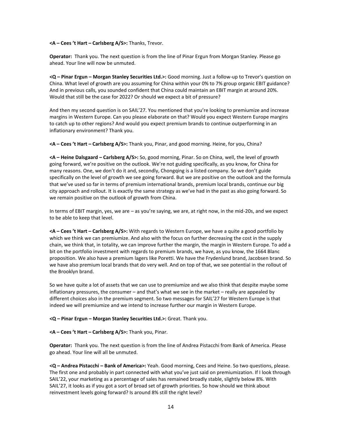#### **<A – Cees 't Hart – Carlsberg A/S>:** Thanks, Trevor.

**Operator:** Thank you. The next question is from the line of Pinar Ergun from Morgan Stanley. Please go ahead. Your line will now be unmuted.

**<Q – Pinar Ergun – Morgan Stanley Securities Ltd.>:** Good morning. Just a follow-up to Trevor's question on China. What level of growth are you assuming for China within your 0% to 7% group organic EBIT guidance? And in previous calls, you sounded confident that China could maintain an EBIT margin at around 20%. Would that still be the case for 2022? Or should we expect a bit of pressure?

And then my second question is on SAIL'27. You mentioned that you're looking to premiumize and increase margins in Western Europe. Can you please elaborate on that? Would you expect Western Europe margins to catch up to other regions? And would you expect premium brands to continue outperforming in an inflationary environment? Thank you.

**<A – Cees 't Hart – Carlsberg A/S>:** Thank you, Pinar, and good morning. Heine, for you, China?

**<A – Heine Dalsgaard – Carlsberg A/S>:** So, good morning, Pinar. So on China, well, the level of growth going forward, we're positive on the outlook. We're not guiding specifically, as you know, for China for many reasons. One, we don't do it and, secondly, Chongqing is a listed company. So we don't guide specifically on the level of growth we see going forward. But we are positive on the outlook and the formula that we've used so far in terms of premium international brands, premium local brands, continue our big city approach and rollout. It is exactly the same strategy as we've had in the past as also going forward. So we remain positive on the outlook of growth from China.

In terms of EBIT margin, yes, we are – as you're saying, we are, at right now, in the mid-20s, and we expect to be able to keep that level.

**<A – Cees 't Hart – Carlsberg A/S>:** With regards to Western Europe, we have a quite a good portfolio by which we think we can premiumize. And also with the focus on further decreasing the cost in the supply chain, we think that, in totality, we can improve further the margin, the margin in Western Europe. To add a bit on the portfolio investment with regards to premium brands, we have, as you know, the 1664 Blanc proposition. We also have a premium lagers like Poretti. We have the Frydenlund brand, Jacobsen brand. So we have also premium local brands that do very well. And on top of that, we see potential in the rollout of the Brooklyn brand.

So we have quite a lot of assets that we can use to premiumize and we also think that despite maybe some inflationary pressures, the consumer – and that's what we see in the market – really are appealed by different choices also in the premium segment. So two messages for SAIL'27 for Western Europe is that indeed we will premiumize and we intend to increase further our margin in Western Europe.

**<Q – Pinar Ergun – Morgan Stanley Securities Ltd.>:** Great. Thank you.

#### **<A – Cees 't Hart – Carlsberg A/S>:** Thank you, Pinar.

**Operator:** Thank you. The next question is from the line of Andrea Pistacchi from Bank of America. Please go ahead. Your line will all be unmuted.

**<Q – Andrea Pistacchi – Bank of America>:** Yeah. Good morning, Cees and Heine. So two questions, please. The first one and probably in part connected with what you've just said on premiumization. If I look through SAIL'22, your marketing as a percentage of sales has remained broadly stable, slightly below 8%. With SAIL'27, it looks as if you got a sort of broad set of growth priorities. So how should we think about reinvestment levels going forward? Is around 8% still the right level?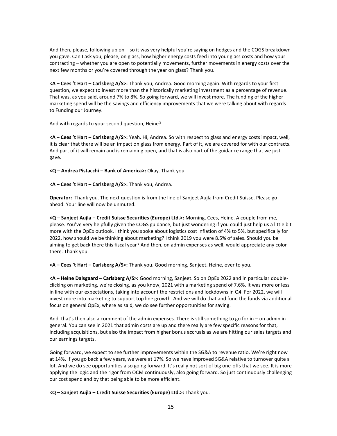And then, please, following up on – so it was very helpful you're saying on hedges and the COGS breakdown you gave. Can I ask you, please, on glass, how higher energy costs feed into your glass costs and how your contracting – whether you are open to potentially movements, further movements in energy costs over the next few months or you're covered through the year on glass? Thank you.

**<A – Cees 't Hart – Carlsberg A/S>:** Thank you, Andrea. Good morning again. With regards to your first question, we expect to invest more than the historically marketing investment as a percentage of revenue. That was, as you said, around 7% to 8%. So going forward, we will invest more. The funding of the higher marketing spend will be the savings and efficiency improvements that we were talking about with regards to Funding our Journey.

And with regards to your second question, Heine?

**<A – Cees 't Hart – Carlsberg A/S>:** Yeah. Hi, Andrea. So with respect to glass and energy costs impact, well, it is clear that there will be an impact on glass from energy. Part of it, we are covered for with our contracts. And part of it will remain and is remaining open, and that is also part of the guidance range that we just gave.

**<Q – Andrea Pistacchi – Bank of America>:** Okay. Thank you.

**<A – Cees 't Hart – Carlsberg A/S>:** Thank you, Andrea.

**Operator:** Thank you. The next question is from the line of Sanjeet Aujla from Credit Suisse. Please go ahead. Your line will now be unmuted.

**<Q – Sanjeet Aujla – Credit Suisse Securities (Europe) Ltd.>:** Morning, Cees, Heine. A couple from me, please. You've very helpfully given the COGS guidance, but just wondering if you could just help us a little bit more with the OpEx outlook. I think you spoke about logistics cost inflation of 4% to 5%, but specifically for 2022, how should we be thinking about marketing? I think 2019 you were 8.5% of sales. Should you be aiming to get back there this fiscal year? And then, on admin expenses as well, would appreciate any color there. Thank you.

**<A – Cees 't Hart – Carlsberg A/S>:** Thank you. Good morning, Sanjeet. Heine, over to you.

**<A – Heine Dalsgaard – Carlsberg A/S>:** Good morning, Sanjeet. So on OpEx 2022 and in particular doubleclicking on marketing, we're closing, as you know, 2021 with a marketing spend of 7.6%. It was more or less in line with our expectations, taking into account the restrictions and lockdowns in Q4. For 2022, we will invest more into marketing to support top line growth. And we will do that and fund the funds via additional focus on general OpEx, where as said, we do see further opportunities for saving.

And that's then also a comment of the admin expenses. There is still something to go for in – on admin in general. You can see in 2021 that admin costs are up and there really are few specific reasons for that, including acquisitions, but also the impact from higher bonus accruals as we are hitting our sales targets and our earnings targets.

Going forward, we expect to see further improvements within the SG&A to revenue ratio. We're right now at 14%. If you go back a few years, we were at 17%. So we have improved SG&A relative to turnover quite a lot. And we do see opportunities also going forward. It's really not sort of big one-offs that we see. It is more applying the logic and the rigor from OCM continuously, also going forward. So just continuously challenging our cost spend and by that being able to be more efficient.

**<Q – Sanjeet Aujla – Credit Suisse Securities (Europe) Ltd.>:** Thank you.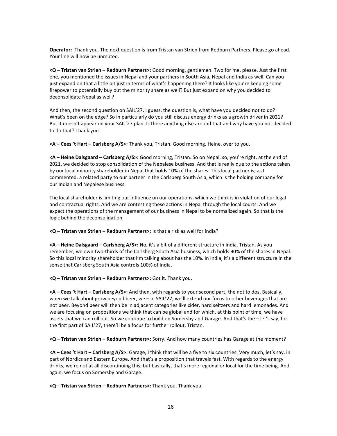**Operator:** Thank you. The next question is from Tristan van Strien from Redburn Partners. Please go ahead. Your line will now be unmuted.

**<Q – Tristan van Strien – Redburn Partners>:** Good morning, gentlemen. Two for me, please. Just the first one, you mentioned the issues in Nepal and your partners in South Asia, Nepal and India as well. Can you just expand on that a little bit just in terms of what's happening there? It looks like you're keeping some firepower to potentially buy out the minority share as well? But just expand on why you decided to deconsolidate Nepal as well?

And then, the second question on SAIL'27. I guess, the question is, what have you decided not to do? What's been on the edge? So in particularly do you still discuss energy drinks as a growth driver in 2021? But it doesn't appear on your SAIL'27 plan. Is there anything else around that and why have you not decided to do that? Thank you.

**<A – Cees 't Hart – Carlsberg A/S>:** Thank you, Tristan. Good morning. Heine, over to you.

**<A – Heine Dalsgaard – Carlsberg A/S>:** Good morning, Tristan. So on Nepal, so, you're right, at the end of 2021, we decided to stop consolidation of the Nepalese business. And that is really due to the actions taken by our local minority shareholder in Nepal that holds 10% of the shares. This local partner is, as I commented, a related party to our partner in the Carlsberg South Asia, which is the holding company for our Indian and Nepalese business.

The local shareholder is limiting our influence on our operations, which we think is in violation of our legal and contractual rights. And we are contesting these actions in Nepal through the local courts. And we expect the operations of the management of our business in Nepal to be normalized again. So that is the logic behind the deconsolidation.

**<Q – Tristan van Strien – Redburn Partners>:** Is that a risk as well for India?

**<A – Heine Dalsgaard – Carlsberg A/S>:** No, it's a bit of a different structure in India, Tristan. As you remember, we own two-thirds of the Carlsberg South Asia business, which holds 90% of the shares in Nepal. So this local minority shareholder that I'm talking about has the 10%. In India, it's a different structure in the sense that Carlsberg South Asia controls 100% of India.

**<Q – Tristan van Strien – Redburn Partners>:** Got it. Thank you.

**<A – Cees 't Hart – Carlsberg A/S>:** And then, with regards to your second part, the not to dos. Basically, when we talk about grow beyond beer, we – in SAIL'27, we'll extend our focus to other beverages that are not beer. Beyond beer will then be in adjacent categories like cider, hard seltzers and hard lemonades. And we are focusing on propositions we think that can be global and for which, at this point of time, we have assets that we can roll out. So we continue to build on Somersby and Garage. And that's the – let's say, for the first part of SAIL'27, there'll be a focus for further rollout, Tristan.

**<Q – Tristan van Strien – Redburn Partners>:** Sorry. And how many countries has Garage at the moment?

**<A – Cees 't Hart – Carlsberg A/S>:** Garage, I think that will be a five to six countries. Very much, let's say, in part of Nordics and Eastern Europe. And that's a proposition that travels fast. With regards to the energy drinks, we're not at all discontinuing this, but basically, that's more regional or local for the time being. And, again, we focus on Somersby and Garage.

**<Q – Tristan van Strien – Redburn Partners>:** Thank you. Thank you.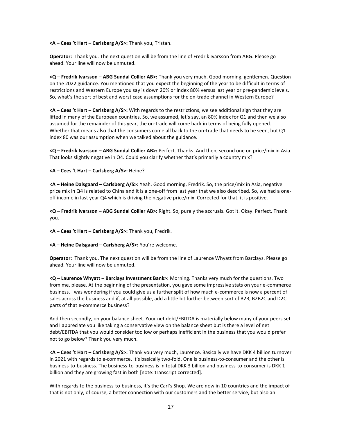#### **<A – Cees 't Hart – Carlsberg A/S>:** Thank you, Tristan.

**Operator:** Thank you. The next question will be from the line of Fredrik Ivarsson from ABG. Please go ahead. Your line will now be unmuted.

**<Q – Fredrik Ivarsson – ABG Sundal Collier AB>:** Thank you very much. Good morning, gentlemen. Question on the 2022 guidance. You mentioned that you expect the beginning of the year to be difficult in terms of restrictions and Western Europe you say is down 20% or index 80% versus last year or pre-pandemic levels. So, what's the sort of best and worst case assumptions for the on-trade channel in Western Europe?

**<A – Cees 't Hart – Carlsberg A/S>:** With regards to the restrictions, we see additional sign that they are lifted in many of the European countries. So, we assumed, let's say, an 80% index for Q1 and then we also assumed for the remainder of this year, the on-trade will come back in terms of being fully opened. Whether that means also that the consumers come all back to the on-trade that needs to be seen, but Q1 index 80 was our assumption when we talked about the guidance.

**<Q – Fredrik Ivarsson – ABG Sundal Collier AB>:** Perfect. Thanks. And then, second one on price/mix in Asia. That looks slightly negative in Q4. Could you clarify whether that's primarily a country mix?

### **<A – Cees 't Hart – Carlsberg A/S>:** Heine?

**<A – Heine Dalsgaard – Carlsberg A/S>:** Yeah. Good morning, Fredrik. So, the price/mix in Asia, negative price mix in Q4 is related to China and it is a one-off from last year that we also described. So, we had a oneoff income in last year Q4 which is driving the negative price/mix. Corrected for that, it is positive.

**<Q – Fredrik Ivarsson – ABG Sundal Collier AB>:** Right. So, purely the accruals. Got it. Okay. Perfect. Thank you.

**<A – Cees 't Hart – Carlsberg A/S>:** Thank you, Fredrik.

**<A – Heine Dalsgaard – Carlsberg A/S>:** You're welcome.

**Operator:** Thank you. The next question will be from the line of Laurence Whyatt from Barclays. Please go ahead. Your line will now be unmuted.

**<Q – Laurence Whyatt – Barclays Investment Bank>:** Morning. Thanks very much for the questions. Two from me, please. At the beginning of the presentation, you gave some impressive stats on your e-commerce business. I was wondering if you could give us a further split of how much e-commerce is now a percent of sales across the business and if, at all possible, add a little bit further between sort of B2B, B2B2C and D2C parts of that e-commerce business?

And then secondly, on your balance sheet. Your net debt/EBITDA is materially below many of your peers set and I appreciate you like taking a conservative view on the balance sheet but is there a level of net debt/EBITDA that you would consider too low or perhaps inefficient in the business that you would prefer not to go below? Thank you very much.

**<A – Cees 't Hart – Carlsberg A/S>:** Thank you very much, Laurence. Basically we have DKK 4 billion turnover in 2021 with regards to e-commerce. It's basically two-fold. One is business-to-consumer and the other is business-to-business. The business-to-business is in total DKK 3 billion and business-to-consumer is DKK 1 billion and they are growing fast in both [note: transcript corrected].

With regards to the business-to-business, it's the Carl's Shop. We are now in 10 countries and the impact of that is not only, of course, a better connection with our customers and the better service, but also an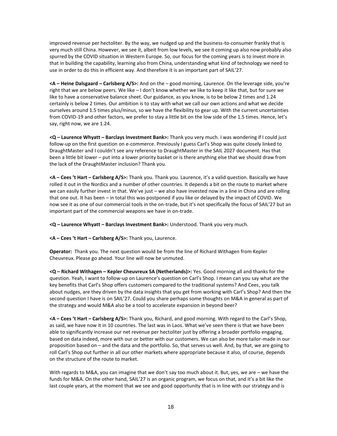improved revenue per hectoliter. By the way, we nudged up and the business-to-consumer frankly that is very much still China. However, we see it, albeit from low levels, we see it coming up also now probably also spurred by the COVID situation in Western Europe. So, our focus for the coming years is to invest more in that in building the capability, learning also from China, understanding what kind of technology we need to use in order to do this in efficient way. And therefore it is an important part of SAIL'27.

**<A – Heine Dalsgaard – Carlsberg A/S>:** And on the – good morning, Laurence. On the leverage side, you're right that we are below peers. We like – I don't know whether we like to keep it like that, but for sure we like to have a conservative balance sheet. Our guidance, as you know, is to be below 2 times and 1.24 certainly is below 2 times. Our ambition is to stay with what we call our own actions and what we decide ourselves around 1.5 times plus/minus, so we have the flexibility to gear up. With the current uncertainties from COVID-19 and other factors, we prefer to stay a little bit on the low side of the 1.5 times. Hence, let's say, right now, we are 1.24.

**<Q – Laurence Whyatt – Barclays Investment Bank>:** Thank you very much. I was wondering if I could just follow-up on the first question on e-commerce. Previously I guess Carl's Shop was quite closely linked to DraughtMaster and I couldn't see any reference to DraughtMaster in the SAIL 2027 document. Has that been a little bit lower – put into a lower priority basket or is there anything else that we should draw from the lack of the DraughtMaster inclusion? Thank you.

**<A – Cees 't Hart – Carlsberg A/S>:** Thank you. Thank you. Laurence, it's a valid question. Basically we have rolled it out in the Nordics and a number of other countries. It depends a bit on the route to market where we can easily further invest in that. We've just – we also have invested now in a line in China and are rolling that one out. It has been – in total this was postponed if you like or delayed by the impact of COVID. We now see it as one of our commercial tools in the on-trade, but it's not specifically the focus of SAIL'27 but an important part of the commercial weapons we have in on-trade.

**<Q – Laurence Whyatt – Barclays Investment Bank>:** Understood. Thank you very much.

**<A – Cees 't Hart – Carlsberg A/S>:** Thank you, Laurence.

**Operator:** Thank you. The next question would be from the line of Richard Withagen from Kepler Cheuvreux. Please go ahead. Your line will now be unmuted.

**<Q – Richard Withagen – Kepler Cheuvreux SA (Netherlands)>:** Yes. Good morning all and thanks for the question. Yeah, I want to follow-up on Laurence's question on Carl's Shop. I mean can you say what are the key benefits that Carl's Shop offers customers compared to the traditional systems? And Cees, you talk about nudges, are they driven by the data insights that you get from working with Carl's Shop? And then the second question I have is on SAIL'27. Could you share perhaps some thoughts on M&A in general as part of the strategy and would M&A also be a tool to accelerate expansion in beyond beer?

**<A – Cees 't Hart – Carlsberg A/S>:** Thank you, Richard, and good morning. With regard to the Carl's Shop, as said, we have now it in 10 countries. The last was in Laos. What we've seen there is that we have been able to significantly increase our net revenue per hectoliter just by offering a broader portfolio engaging, based on data indeed, more with our or better with our customers. We can also be more tailor-made in our proposition based on – and the data and the portfolio. So, that serves us well. And, by that, we are going to roll Carl's Shop out further in all our other markets where appropriate because it also, of course, depends on the structure of the route to market.

With regards to M&A, you can imagine that we don't say too much about it. But, yes, we are – we have the funds for M&A. On the other hand, SAIL'27 is an organic program, we focus on that, and it's a bit like the last couple years, at the moment that we see and good opportunity that is in line with our strategy and is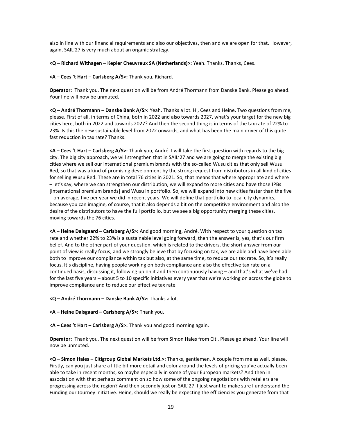also in line with our financial requirements and also our objectives, then and we are open for that. However, again, SAIL'27 is very much about an organic strategy.

**<Q – Richard Withagen – Kepler Cheuvreux SA (Netherlands)>:** Yeah. Thanks. Thanks, Cees.

**<A – Cees 't Hart – Carlsberg A/S>:** Thank you, Richard.

**Operator:** Thank you. The next question will be from André Thormann from Danske Bank. Please go ahead. Your line will now be unmuted.

**<Q – André Thormann – Danske Bank A/S>:** Yeah. Thanks a lot. Hi, Cees and Heine. Two questions from me, please. First of all, in terms of China, both in 2022 and also towards 2027, what's your target for the new big cities here, both in 2022 and towards 2027? And then the second thing is in terms of the tax rate of 22% to 23%. Is this the new sustainable level from 2022 onwards, and what has been the main driver of this quite fast reduction in tax rate? Thanks.

**<A – Cees 't Hart – Carlsberg A/S>:** Thank you, André. I will take the first question with regards to the big city. The big city approach, we will strengthen that in SAIL'27 and we are going to merge the existing big cities where we sell our international premium brands with the so-called Wusu cities that only sell Wusu Red, so that was a kind of promising development by the strong request from distributors in all kind of cities for selling Wusu Red. These are in total 76 cities in 2021. So, that means that where appropriate and where – let's say, where we can strengthen our distribution, we will expand to more cities and have those IPBs [international premium brands] and Wusu in portfolio. So, we will expand into new cities faster than the five – on average, five per year we did in recent years. We will define that portfolio to local city dynamics, because you can imagine, of course, that it also depends a bit on the competitive environment and also the desire of the distributors to have the full portfolio, but we see a big opportunity merging these cities, moving towards the 76 cities.

**<A – Heine Dalsgaard – Carlsberg A/S>:** And good morning, André. With respect to your question on tax rate and whether 22% to 23% is a sustainable level going forward, then the answer is, yes, that's our firm belief. And to the other part of your question, which is related to the drivers, the short answer from our point of view is really focus, and we strongly believe that by focusing on tax, we are able and have been able both to improve our compliance within tax but also, at the same time, to reduce our tax rate. So, it's really focus. It's discipline, having people working on both compliance and also the effective tax rate on a continued basis, discussing it, following up on it and then continuously having – and that's what we've had for the last five years – about 5 to 10 specific initiatives every year that we're working on across the globe to improve compliance and to reduce our effective tax rate.

**<Q – André Thormann – Danske Bank A/S>:** Thanks a lot.

- **<A – Heine Dalsgaard – Carlsberg A/S>:** Thank you.
- **<A – Cees 't Hart – Carlsberg A/S>:** Thank you and good morning again.

**Operator:** Thank you. The next question will be from Simon Hales from Citi. Please go ahead. Your line will now be unmuted.

**<Q – Simon Hales – Citigroup Global Markets Ltd.>:** Thanks, gentlemen. A couple from me as well, please. Firstly, can you just share a little bit more detail and color around the levels of pricing you've actually been able to take in recent months, so maybe especially in some of your European markets? And then in association with that perhaps comment on so how some of the ongoing negotiations with retailers are progressing across the region? And then secondly just on SAIL'27, I just want to make sure I understand the Funding our Journey initiative. Heine, should we really be expecting the efficiencies you generate from that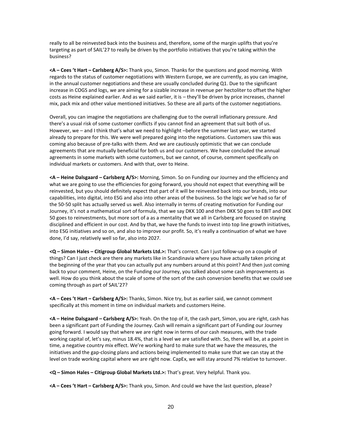really to all be reinvested back into the business and, therefore, some of the margin uplifts that you're targeting as part of SAIL'27 to really be driven by the portfolio initiatives that you're taking within the business?

**<A – Cees 't Hart – Carlsberg A/S>:** Thank you, Simon. Thanks for the questions and good morning. With regards to the status of customer negotiations with Western Europe, we are currently, as you can imagine, in the annual customer negotiations and these are usually concluded during Q1. Due to the significant increase in COGS and logs, we are aiming for a sizable increase in revenue per hectoliter to offset the higher costs as Heine explained earlier. And as we said earlier, it is – they'll be driven by price increases, channel mix, pack mix and other value mentioned initiatives. So these are all parts of the customer negotiations.

Overall, you can imagine the negotiations are challenging due to the overall inflationary pressure. And there's a usual risk of some customer conflicts if you cannot find an agreement that suit both of us. However, we – and I think that's what we need to highlight –before the summer last year, we started already to prepare for this. We were well prepared going into the negotiations. Customers saw this was coming also because of pre-talks with them. And we are cautiously optimistic that we can conclude agreements that are mutually beneficial for both us and our customers. We have concluded the annual agreements in some markets with some customers, but we cannot, of course, comment specifically on individual markets or customers. And with that, over to Heine.

**<A – Heine Dalsgaard – Carlsberg A/S>:** Morning, Simon. So on Funding our Journey and the efficiency and what we are going to use the efficiencies for going forward, you should not expect that everything will be reinvested, but you should definitely expect that part of it will be reinvested back into our brands, into our capabilities, into digital, into ESG and also into other areas of the business. So the logic we've had so far of the 50-50 split has actually served us well. Also internally in terms of creating motivation for Funding our Journey, it's not a mathematical sort of formula, that we say DKK 100 and then DKK 50 goes to EBIT and DKK 50 goes to reinvestments, but more sort of a as a mentality that we all in Carlsberg are focused on staying disciplined and efficient in our cost. And by that, we have the funds to invest into top line growth initiatives, into ESG initiatives and so on, and also to improve our profit. So, it's really a continuation of what we have done, I'd say, relatively well so far, also into 2027.

**<Q – Simon Hales – Citigroup Global Markets Ltd.>:** That's correct. Can I just follow-up on a couple of things? Can I just check are there any markets like in Scandinavia where you have actually taken pricing at the beginning of the year that you can actually put any numbers around at this point? And then just coming back to your comment, Heine, on the Funding our Journey, you talked about some cash improvements as well. How do you think about the scale of some of the sort of the cash conversion benefits that we could see coming through as part of SAIL'27?

**<A – Cees 't Hart – Carlsberg A/S>:** Thanks, Simon. Nice try, but as earlier said, we cannot comment specifically at this moment in time on individual markets and customers Heine.

**<A – Heine Dalsgaard – Carlsberg A/S>:** Yeah. On the top of it, the cash part, Simon, you are right, cash has been a significant part of Funding the Journey. Cash will remain a significant part of Funding our Journey going forward. I would say that where we are right now in terms of our cash measures, with the trade working capital of, let's say, minus 18.4%, that is a level we are satisfied with. So, there will be, at a point in time, a negative country mix effect. We're working hard to make sure that we have the measures, the initiatives and the gap-closing plans and actions being implemented to make sure that we can stay at the level on trade working capital where we are right now. CapEx, we will stay around 7% relative to turnover.

**<Q – Simon Hales – Citigroup Global Markets Ltd.>:** That's great. Very helpful. Thank you.

**<A – Cees 't Hart – Carlsberg A/S>:** Thank you, Simon. And could we have the last question, please?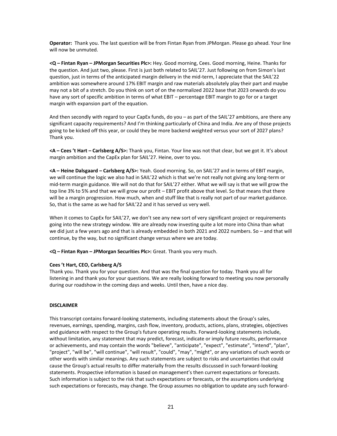**Operator:** Thank you. The last question will be from Fintan Ryan from JPMorgan. Please go ahead. Your line will now be unmuted.

**<Q – Fintan Ryan – JPMorgan Securities Plc>:** Hey. Good morning, Cees. Good morning, Heine. Thanks for the question. And just two, please. First is just both related to SAIL'27. Just following on from Simon's last question, just in terms of the anticipated margin delivery in the mid-term, I appreciate that the SAIL'22 ambition was somewhere around 17% EBIT margin and raw materials absolutely play their part and maybe may not a bit of a stretch. Do you think on sort of on the normalized 2022 base that 2023 onwards do you have any sort of specific ambition in terms of what EBIT – percentage EBIT margin to go for or a target margin with expansion part of the equation.

And then secondly with regard to your CapEx funds, do you – as part of the SAIL'27 ambitions, are there any significant capacity requirements? And I'm thinking particularly of China and India. Are any of those projects going to be kicked off this year, or could they be more backend weighted versus your sort of 2027 plans? Thank you.

**<A – Cees 't Hart – Carlsberg A/S>:** Thank you, Fintan. Your line was not that clear, but we got it. It's about margin ambition and the CapEx plan for SAIL'27. Heine, over to you.

**<A – Heine Dalsgaard – Carlsberg A/S>:** Yeah. Good morning. So, on SAIL'27 and in terms of EBIT margin, we will continue the logic we also had in SAIL'22 which is that we're not really not giving any long-term or mid-term margin guidance. We will not do that for SAIL'27 either. What we will say is that we will grow the top line 3% to 5% and that we will grow our profit – EBIT profit above that level. So that means that there will be a margin progression. How much, when and stuff like that is really not part of our market guidance. So, that is the same as we had for SAIL'22 and it has served us very well.

When it comes to CapEx for SAIL'27, we don't see any new sort of very significant project or requirements going into the new strategy window. We are already now investing quite a lot more into China than what we did just a few years ago and that is already embedded in both 2021 and 2022 numbers. So - and that will continue, by the way, but no significant change versus where we are today.

**<Q – Fintan Ryan – JPMorgan Securities Plc>:** Great. Thank you very much.

#### **Cees 't Hart, CEO, Carlsberg A/S**

Thank you. Thank you for your question. And that was the final question for today. Thank you all for listening in and thank you for your questions. We are really looking forward to meeting you now personally during our roadshow in the coming days and weeks. Until then, have a nice day.

#### **DISCLAIMER**

This transcript contains forward-looking statements, including statements about the Group's sales, revenues, earnings, spending, margins, cash flow, inventory, products, actions, plans, strategies, objectives and guidance with respect to the Group's future operating results. Forward-looking statements include, without limitation, any statement that may predict, forecast, indicate or imply future results, performance or achievements, and may contain the words "believe", "anticipate", "expect", "estimate", "intend", "plan", "project", "will be", "will continue", "will result", "could", "may", "might", or any variations of such words or other words with similar meanings. Any such statements are subject to risks and uncertainties that could cause the Group's actual results to differ materially from the results discussed in such forward-looking statements. Prospective information is based on management's then current expectations or forecasts. Such information is subject to the risk that such expectations or forecasts, or the assumptions underlying such expectations or forecasts, may change. The Group assumes no obligation to update any such forward